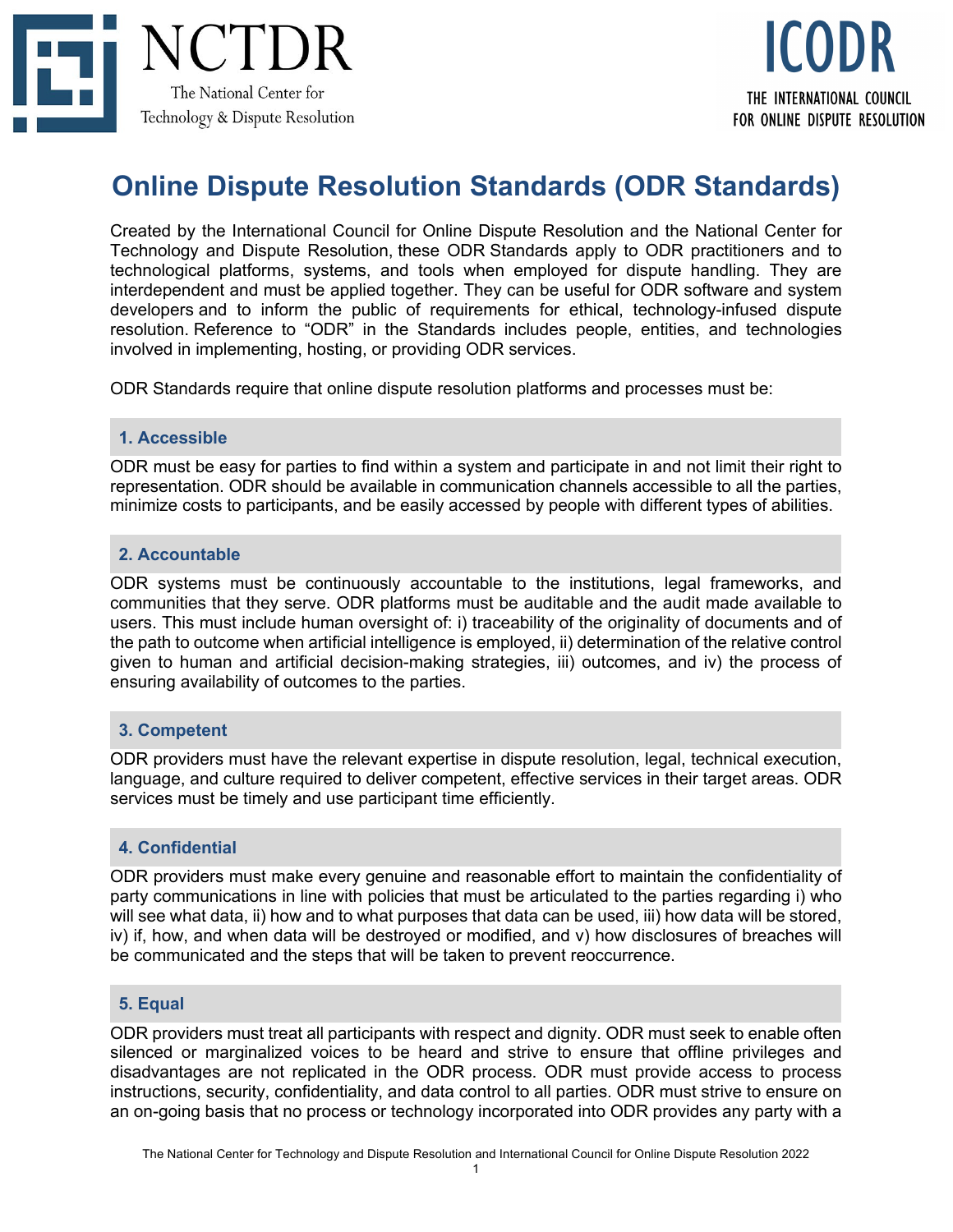

# **Online Dispute Resolution Standards (ODR Standards)**

Created by the International Council for Online Dispute Resolution and the National Center for Technology and Dispute Resolution, these ODR Standards apply to ODR practitioners and to technological platforms, systems, and tools when employed for dispute handling. They are interdependent and must be applied together. They can be useful for ODR software and system developers and to inform the public of requirements for ethical, technology-infused dispute resolution. Reference to "ODR" in the Standards includes people, entities, and technologies involved in implementing, hosting, or providing ODR services.

ODR Standards require that online dispute resolution platforms and processes must be:

#### **1. Accessible**

ODR must be easy for parties to find within a system and participate in and not limit their right to representation. ODR should be available in communication channels accessible to all the parties, minimize costs to participants, and be easily accessed by people with different types of abilities.

#### **2. Accountable**

ODR systems must be continuously accountable to the institutions, legal frameworks, and communities that they serve. ODR platforms must be auditable and the audit made available to users. This must include human oversight of: i) traceability of the originality of documents and of the path to outcome when artificial intelligence is employed, ii) determination of the relative control given to human and artificial decision-making strategies, iii) outcomes, and iv) the process of ensuring availability of outcomes to the parties.

## **3. Competent**

ODR providers must have the relevant expertise in dispute resolution, legal, technical execution, language, and culture required to deliver competent, effective services in their target areas. ODR services must be timely and use participant time efficiently.

## **4. Confidential**

ODR providers must make every genuine and reasonable effort to maintain the confidentiality of party communications in line with policies that must be articulated to the parties regarding i) who will see what data, ii) how and to what purposes that data can be used, iii) how data will be stored, iv) if, how, and when data will be destroyed or modified, and v) how disclosures of breaches will be communicated and the steps that will be taken to prevent reoccurrence.

## **5. Equal**

ODR providers must treat all participants with respect and dignity. ODR must seek to enable often silenced or marginalized voices to be heard and strive to ensure that offline privileges and disadvantages are not replicated in the ODR process. ODR must provide access to process instructions, security, confidentiality, and data control to all parties. ODR must strive to ensure on an on-going basis that no process or technology incorporated into ODR provides any party with a